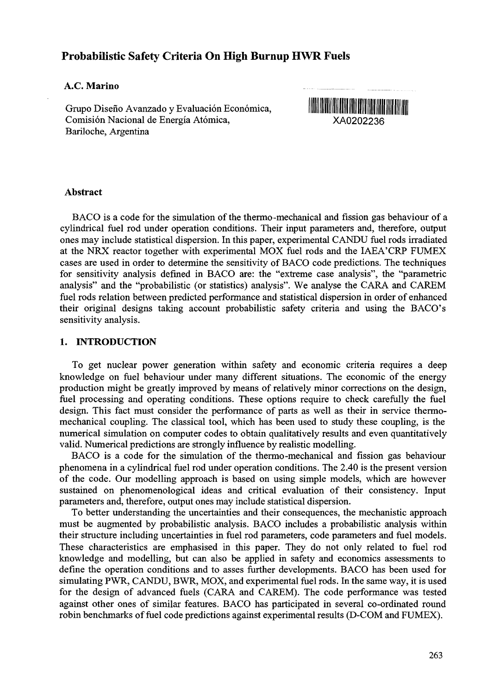# Probabilistic Safety Criteria On High Burnup HWR Fuels

### **A.C. Marino**

Grupo Diseño Avanzado y Evaluación Económica, Comision Nacional de Energia Atomica, XA0202236 Bariloche, Argentina



#### **Abstract**

BACO is a code for the simulation of the thermo-mechanical and fission gas behaviour of a cylindrical fuel rod under operation conditions. Their input parameters and, therefore, output ones may include statistical dispersion. In this paper, experimental CANDU fuel rods irradiated at the NRX reactor together with experimental MOX fuel rods and the IAEA'CRP FUMEX cases are used in order to determine the sensitivity of BACO code predictions. The techniques for sensitivity analysis defined in BACO are: the "extreme case analysis", the "parametric analysis" and the "probabilistic (or statistics) analysis". We analyse the CARA and CAREM fuel rods relation between predicted performance and statistical dispersion in order of enhanced their original designs taking account probabilistic safety criteria and using the BACO's sensitivity analysis.

### **1. INTRODUCTION**

To get nuclear power generation within safety and economic criteria requires a deep knowledge on fuel behaviour under many different situations. The economic of the energy production might be greatly improved by means of relatively minor corrections on the design, fuel processing and operating conditions. These options require to check carefully the fuel design. This fact must consider the performance of parts as well as their in service thermomechanical coupling. The classical tool, which has been used to study these coupling, is the numerical simulation on computer codes to obtain qualitatively results and even quantitatively valid. Numerical predictions are strongly influence by realistic modelling.

BACO is a code for the simulation of the thermo -mechanical and fission gas behaviour phenomena in a cylindrical fuel rod under operation conditions. The 2.40 is the present version of the code. Our modelling approach is based on using simple models, which are however sustained on phenomenological ideas and critical evaluation of their consistency. Input parameters and, therefore, output ones may include statistical dispersion.

To better understanding the uncertainties and their consequences, the mechanistic approach must be augmented by probabilistic analysis. BACO includes a probabilistic analysis within their structure including uncertainties in fuel rod parameters, code parameters and fuel models. These characteristics are emphasised in this paper. They do not only related to fuel rod knowledge and modelling, but can also be applied in safety and economics assessments to define the operation conditions and to asses further developments. BACO has been used for simulating PWR, CANDU, BWR, MOX, and experimental fuel rods. In the same way, it is used for the design of advanced fuels (CARA and CAREM). The code performance was tested against other ones of similar features. BACO has participated in several co-ordinated round robin benchmarks of fuel code predictions against experimental results (D-COM and FUMEX).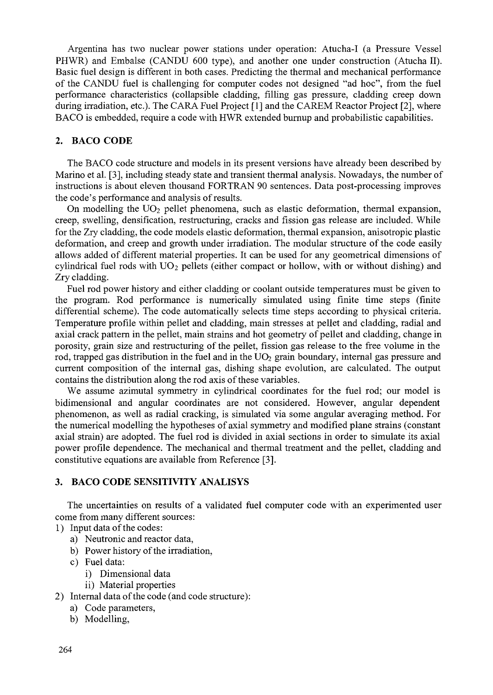Argentina has two nuclear power stations under operation: Atucha-I (a Pressure Vessel PHWR) and Embalse (CANDU 600 type), and another one under construction (Atucha II). Basic fuel design is different in both cases. Predicting the thermal and mechanical performance of the CANDU fuel is challenging for computer codes not designed "ad hoc", from the fuel performance characteristics (collapsible cladding, filling gas pressure, cladding creep down during irradiation, etc.). The CARA Fuel Project [1] and the CAREM Reactor Project [2], where BACO is embedded, require a code with HWR extended burnup and probabilistic capabilities.

### **2. BACO CODE**

The BACO code structure and models in its present versions have already been described by Marino et al. [3], including steady state and transient thermal analysis. Nowadays, the number of instructions is about eleven thousand FORTRAN 90 sentences. Data post-processing improves the code's performance and analysis of results.

On modelling the  $UO<sub>2</sub>$  pellet phenomena, such as elastic deformation, thermal expansion, creep, swelling, densification, restructuring, cracks and fission gas release are included. While for the Zry cladding, the code models elastic deformation, thermal expansion, anisotropic plastic deformation, and creep and growth under irradiation. The modular structure of the code easily allows added of different material properties. It can be used for any geometrical dimensions of cylindrical fuel rods with  $UO<sub>2</sub>$  pellets (either compact or hollow, with or without dishing) and Zry cladding.

Fuel rod power history and either cladding or coolant outside temperatures must be given to the program. Rod performance is numerically simulated using finite time steps (finite differential scheme). The code automatically selects time steps according to physical criteria. Temperature profile within pellet and cladding, main stresses at pellet and cladding, radial and axial crack pattern in the pellet, main strains and hot geometry of pellet and cladding, change in porosity, grain size and restructuring of the pellet, fission gas release to the free volume in the rod, trapped gas distribution in the fuel and in the  $UO<sub>2</sub>$  grain boundary, internal gas pressure and current composition of the internal gas, dishing shape evolution, are calculated. The output contains the distribution along the rod axis of these variables.

We assume azimutal symmetry in cylindrical coordinates for the fuel rod; our model is bidimensional and angular coordinates are not considered. However, angular dependent phenomenon, as well as radial cracking, is simulated via some angular averaging method. For the numerical modelling the hypotheses of axial symmetry and modified plane strains (constant axial strain) are adopted. The fuel rod is divided in axial sections in order to simulate its axial power profile dependence. The mechanical and thermal treatment and the pellet, cladding and constitutive equations are available from Reference [3].

### **3. BACO CODE SENSITIVITY ANALISYS**

The uncertainties on results of a validated fuel computer code with an experimented user come from many different sources:

- 1) Input data of the codes:
	- a) Neutronic and reactor data,
	- b) Power history of the irradiation,
	- c) Fuel data:
		- i) Dimensional data
		- ii) Material properties
- 2) Internal data of the code (and code structure):
	- a) Code parameters,
	- b) Modelling,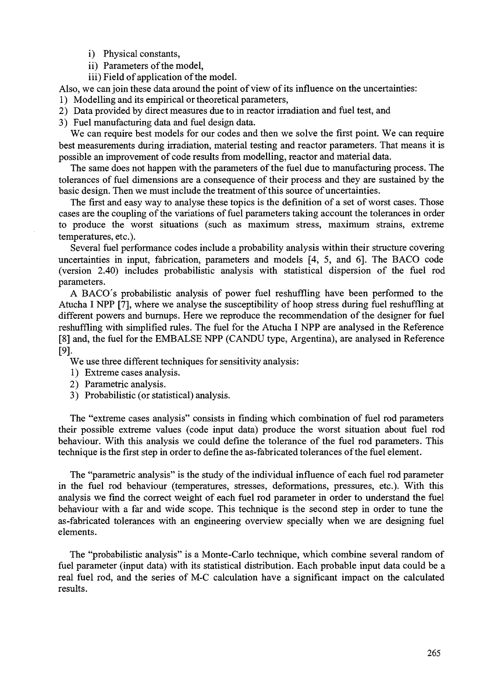- i) Physical constants,
- ii) Parameters of the model,

iii) Field of application of the model.

Also, we can join these data around the point of view of its influence on the uncertainties:

- 1) Modelling and its empirical or theoretical parameters,
- 2) Data provided by direct measures due to in reactor irradiation and fuel test, and
- 3) Fuel manufacturing data and fuel design data.

We can require best models for our codes and then we solve the first point. We can require best measurements during irradiation, material testing and reactor parameters. That means it is possible an improvement of code results from modelling, reactor and material data.

The same does not happen with the parameters of the fuel due to manufacturing process. The tolerances of fuel dimensions are a consequence of their process and they are sustained by the basic design. Then we must include the treatment of this source of uncertainties.

The first and easy way to analyse these topics is the definition of a set of worst cases. Those cases are the coupling of the variations of fuel parameters taking account the tolerances in order to produce the worst situations (such as maximum stress, maximum strains, extreme temperatures, etc.).

Several fuel performance codes include a probability analysis within their structure covering uncertainties in input, fabrication, parameters and models [4, 5, and 6]. The BACO code (version 2.40) includes probabilistic analysis with statistical dispersion of the fuel rod parameters.

A BACO's probabilistic analysis of power fuel reshuffling have been performed to the Atucha I NPP [7], where we analyse the susceptibility of hoop stress during fuel reshuffling at different powers and burnups. Here we reproduce the recommendation of the designer for fuel reshuffling with simplified rules. The fuel for the Atucha I NPP are analysed in the Reference [8] and, the fuel for the EMBALSE NPP (CANDU type, Argentina), are analysed in Reference [9].

We use three different techniques for sensitivity analysis:

- 1) Extreme cases analysis.
- 2) Parametric analysis.
- 3) Probabilistic (or statistical) analysis.

The "extreme cases analysis" consists in finding which combination of fuel rod parameters their possible extreme values (code input data) produce the worst situation about fuel rod behaviour. With this analysis we could define the tolerance of the fuel rod parameters. This technique is the first step in order to define the as-fabricated tolerances of the fuel element.

The "parametric analysis" is the study of the individual influence of each fuel rod parameter in the fuel rod behaviour (temperatures, stresses, deformations, pressures, etc.). With this analysis we find the correct weight of each fuel rod parameter in order to understand the fuel behaviour with a far and wide scope. This technique is the second step in order to tune the as-fabricated tolerances with an engineering overview specially when we are designing fuel elements.

The "probabilistic analysis" is a Monte-Carlo technique, which combine several random of fuel parameter (input data) with its statistical distribution. Each probable input data could be a real fuel rod, and the series of M-C calculation have a significant impact on the calculated results.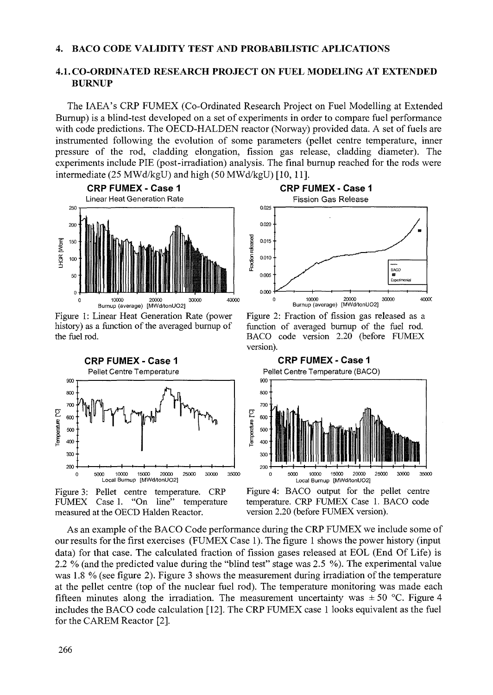### **4. BACO CODE VALIDITY TEST AND PROBABILISTIC APLICATIONS**

## **4.1. CO-ORDINATED RESEARCH PROJECT ON FUEL MODELING AT EXTENDED BURNUP**

The IAEA's CRP FUMEX (Co-Ordinated Research Project on Fuel Modelling at Extended Burnup) is a blind-test developed on a set of experiments in order to compare fuel performance with code predictions. The OECD-HALDEN reactor (Norway) provided data. A set of fuels are instrumented following the evolution of some parameters (pellet centre temperature, inner pressure of the rod, cladding elongation, fission gas release, cladding diameter). The experiments include PIE (post-irradiation) analysis. The final burnup reached for the rods were intermediate (25 MWd/kgU) and high (50 MWd/kgU) [10, 11].



Figure 1: Linear Heat Generation Rate (power history) as a function of the averaged burnup of the fuel rod.



Figure 3: Pellet centre temperature. CRP<br>FUMEX Case 1. "On line" temperature FUMEX Case 1. "On line" measured at the OECD Halden Reactor.



Figure 2: Fraction of fission gas released as a function of averaged burnup of the fuel rod. BACO code version 2.20 (before FUMEX version).



Figure 4: BACO output for the pellet centre temperature. CRP FUMEX Case 1. BACO code version 2.20 (before FUMEX version).

As an example of the BACO Code performance during the CRP FUMEX we include some of our results for the first exercises (FUMEX Case 1). The figure 1 shows the power history (input data) for that case. The calculated fraction of fission gases released at EOL (End Of Life) is 2.2 % (and the predicted value during the "blind test" stage was 2.5 %). The experimental value was 1.8 % (see figure 2). Figure 3 shows the measurement during irradiation of the temperature at the pellet centre (top of the nuclear fuel rod). The temperature monitoring was made each fifteen minutes along the irradiation. The measurement uncertainty was  $\pm 50$  °C. Figure 4 includes the BACO code calculation [12]. The CRP FUMEX case 1 looks equivalent as the fuel for the CAREM Reactor [2].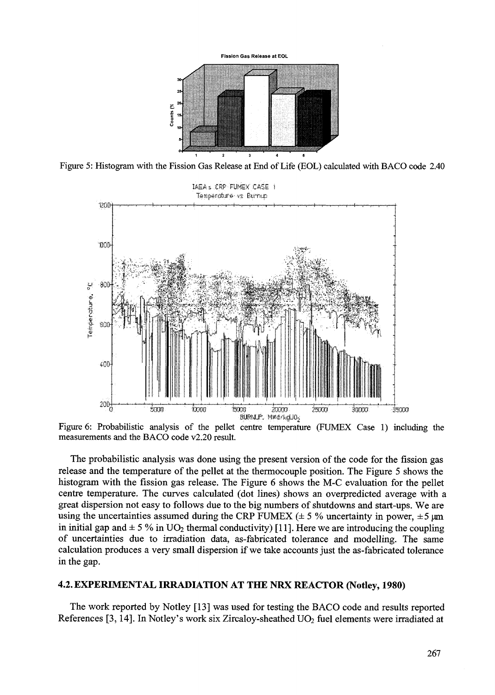

Figure 5: Histogram with the Fission Gas Release at End of Life (EOL) calculated with BACO code 2.40



Figure 6: Probabilistic analysis of the pellet centre temperature (FUMEX Case 1) including the measurements and the BACO code v2.20 result.

The probabilistic analysis was done using the present version of the code for the fission gas release and the temperature of the pellet at the thermocouple position. The Figure 5 shows the histogram with the fission gas release. The Figure 6 shows the M-C evaluation for the pellet centre temperature. The curves calculated (dot lines) shows an overpredicted average with a great dispersion not easy to follows due to the big numbers of shutdowns and start-ups. We are using the uncertainties assumed during the CRP FUMEX ( $\pm$  5 % uncertainty in power,  $\pm$  5 µm in initial gap and  $\pm$  5 % in UO<sub>2</sub> thermal conductivity) [11]. Here we are introducing the coupling of uncertainties due to irradiation data, as-fabricated tolerance and modelling. The same calculation produces a very small dispersion if we take accounts just the as-fabricated tolerance in the gap.

### **4.2. EXPERIMENTAL IRRADIATION AT THE NRX REACTOR (Notley, 1980)**

The work reported by Notley [13] was used for testing the BACO code and results reported References [3, 14]. In Notley's work six Zircaloy-sheathed  $UO<sub>2</sub>$  fuel elements were irradiated at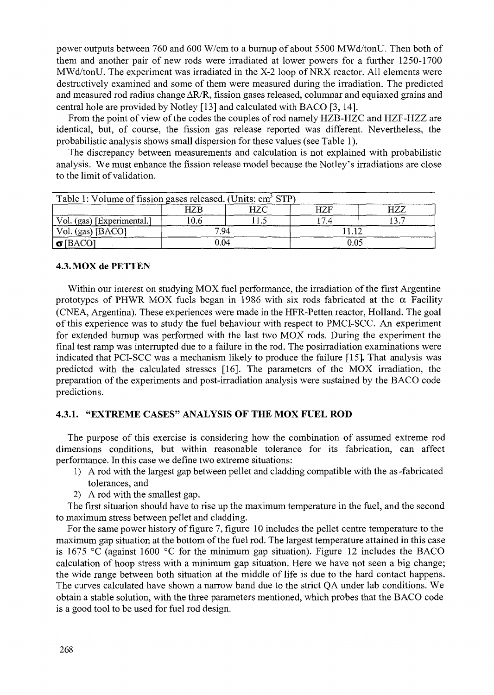power outputs between 760 and 600 W/cm to a burnup of about 5500 MWd/tonU. Then both of them and another pair of new rods were irradiated at lower powers for a further 1250-1700 MWd/tonU. The experiment was irradiated in the X-2 loop of NRX reactor. All elements were destructively examined and some of them were measured during the irradiation. The predicted and measured rod radius change  $\Delta R/R$ , fission gases released, columnar and equiaxed grains and central hole are provided by Notley [13] and calculated with BACO [3,14].

From the point of view of the codes the couples of rod namely HZB-HZC and HZF-HZZ are identical, but, of course, the fission gas release reported was different. Nevertheless, the probabilistic analysis shows small dispersion for these values (see Table 1).

The discrepancy between measurements and calculation is not explained with probabilistic analysis. We must enhance the fission release model because the Notley's irradiations are close to the limit of validation.

| Table 1: Volume of fission gases released. (Units: cm <sup>3</sup> STP) |            |            |            |     |  |  |  |
|-------------------------------------------------------------------------|------------|------------|------------|-----|--|--|--|
|                                                                         | <b>HZB</b> | <b>HZC</b> | HZF        | H77 |  |  |  |
| Vol. (gas) [Experimental.]                                              | 0.6        |            |            |     |  |  |  |
| Vol. (gas) [BACO]                                                       | 7.94       |            |            |     |  |  |  |
| $\sigma$ [BACO]                                                         | 0.04       |            | $\rm 0.05$ |     |  |  |  |

#### **4.3. MOX de PETTEN**

Within our interest on studying MOX fuel performance, the irradiation of the first Argentine prototypes of PHWR MOX fuels began in 1986 with six rods fabricated at the  $\alpha$  Facility (CNEA, Argentina). These experiences were made in the HFR-Petten reactor, Holland. The goal of this experience was to study the fuel behaviour with respect to PMCI-SCC. An experiment for extended burnup was performed with the last two MOX rods. During the experiment the final test ramp was interrupted due to a failure in the rod. The posirradiation examinations were indicated that PCI-SCC was a mechanism likely to produce the failure [15]. That analysis was predicted with the calculated stresses [16]. The parameters of the MOX irradiation, the preparation of the experiments and post-irradiation analysis were sustained by the BACO code predictions.

## **4.3.1. "EXTREME CASES" ANALYSIS OF THE MOX FUEL ROD**

The purpose of this exercise is considering how the combination of assumed extreme rod dimensions conditions, but within reasonable tolerance for its fabrication, can affect performance. In this case we define two extreme situations:

- 1) A rod with the largest gap between pellet and cladding compatible with the as -fabricated tolerances, and
- 2) A rod with the smallest gap.

The first situation should have to rise up the maximum temperature in the fuel, and the second to maximum stress between pellet and cladding.

For the same power history of figure 7, figure 10 includes the pellet centre temperature to the maximum gap situation at the bottom of the fuel rod. The largest temperature attained in this case is 1675 °C (against 1600 °C for the minimum gap situation). Figure 12 includes the BACO calculation of hoop stress with a minimum gap situation. Here we have not seen a big change; the wide range between both situation at the middle of life is due to the hard contact happens. The curves calculated have shown a narrow band due to the strict QA under lab conditions. We obtain a stable solution, with the three parameters mentioned, which probes that the BACO code is a good tool to be used for fuel rod design.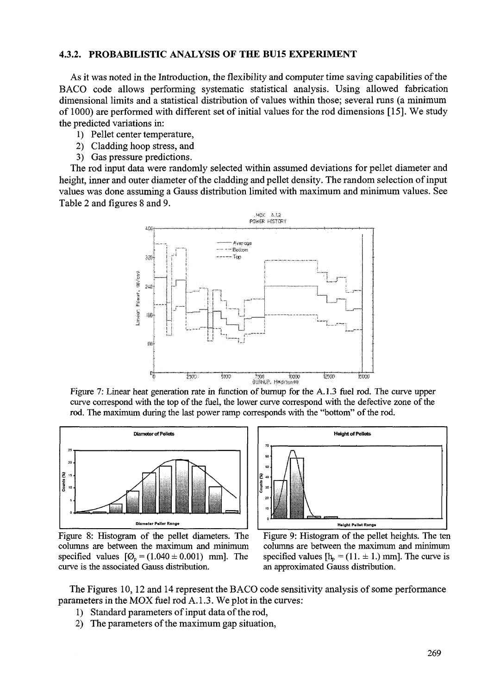#### **4.3.2. PROBABILISTIC ANALYSIS OF THE BU15 EXPERIMENT**

As it was noted in the Introduction, the flexibility and computer time saving capabilities of the BACO code allows performing systematic statistical analysis. Using allowed fabrication dimensional limits and a statistical distribution of values within those; several runs (a minimum of 1000) are performed with different set of initial values for the rod dimensions [15]. We study the predicted variations in:

- 1) Pellet center temperature,
- 2) Cladding hoop stress, and
- 3) Gas pressure predictions.

The rod input data were randomly selected within assumed deviations for pellet diameter and height, inner and outer diameter of the cladding and pellet density. The random selection of input values was done assuming a Gauss distribution limited with maximum and minimum values. See Table 2 and figures 8 and 9.



Figure 7: Linear heat generation rate in function of burnup for the A. 1.3 fuel rod. The curve upper curve correspond with the top of the fuel, the lower curve correspond with the defective zone of the rod. The maximum during the last power ramp corresponds with the "bottom" of the rod.



**Height of Pellets Height Pellet Range**

Figure 8: Histogram of the pellet diameters. The columns are between the maximum and minimum specified values  $[ $\emptyset$ <sub>p</sub> = (1.040 ± 0.001) mm]$ . The curve is the associated Gauss distribution.

Figure 9: Histogram of the pellet heights. The ten columns are between the maximum and minimum specified values  $[h<sub>p</sub> = (11, \pm 1)$  mm]. The curve is an approximated Gauss distribution.

The Figures 10,12 and 14 represent the BACO code sensitivity analysis of some performance parameters in the MOX fuel rod A.1.3. We plot in the curves:

- 1) Standard parameters of input data of the rod,
- 2) The parameters of the maximum gap situation,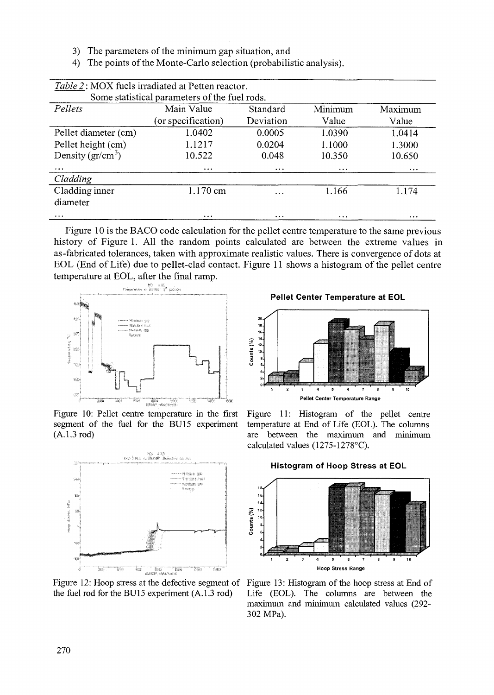- 3) The parameters of the minimum gap situation, and
- 4) The points of the Monte-Carlo selection (probabilistic analysis).

| <i>Table 2</i> : MOX fuels irradiated at Petten reactor. |                    |           |          |          |  |  |  |
|----------------------------------------------------------|--------------------|-----------|----------|----------|--|--|--|
| Some statistical parameters of the fuel rods.            |                    |           |          |          |  |  |  |
| Pellets                                                  | Main Value         | Standard  | Minimum  | Maximum  |  |  |  |
|                                                          | (or specification) | Deviation | Value    | Value    |  |  |  |
| Pellet diameter (cm)                                     | 1.0402             | 0.0005    | 1.0390   | 1.0414   |  |  |  |
| Pellet height (cm)                                       | 1.1217             | 0.0204    | 1.1000   | 1.3000   |  |  |  |
| Density $(\text{gr/cm}^3)$                               | 10.522             | 0.048     | 10.350   | 10.650   |  |  |  |
|                                                          | $\cdots$           | $\cdots$  | $\cdots$ | $\cdots$ |  |  |  |
| Cladding                                                 |                    |           |          |          |  |  |  |
| Cladding inner                                           | 1.170 cm           | $\cdots$  | 1.166    | 1.174    |  |  |  |
| diameter                                                 |                    |           |          |          |  |  |  |
| $\cdots$                                                 | $\cdots$           | $\cdots$  |          | $\cdots$ |  |  |  |

Figure 10 is the BACO code calculation for the pellet centre temperature to the same previous history of Figure 1. All the random points calculated are between the extreme values in as-fabricated tolerances, taken with approximate realistic values. There is convergence of dots at EOL (End of Life) due to pellet-clad contact. Figure 11 shows a histogram of the pellet centre temperature at EOL, after the final ramp.



Figure 10: Pellet centre temperature in the first segment of the fuel for the BU15 experiment (A. 1.3 rod)



Figure 12: Hoop stress at the defective segment of Figure 13: Histogram of the hoop stress at End of

Pellet Center Temperature at EOL



Figure 11: Histogram of the pellet centre temperature at End of Life (EOL). The columns are between the maximum and minimum calculated values (1275-1278°C).



the fuel rod for the BUI5 experiment (A. 1.3 rod) Life (EOL). The columns are between the maximum and minimum calculated values (292- 302 MPa).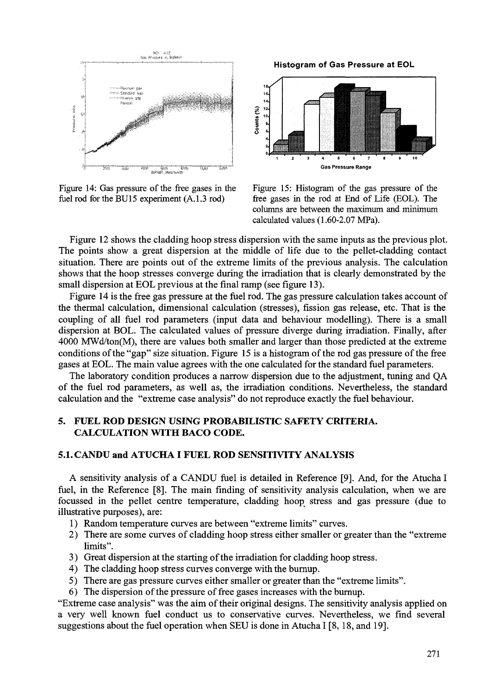

Figure 14: Gas pressure of the free gases in the fuel rod for the BU15 experiment (A.1.3 rod)



Figure 15: Histogram of the gas pressure of the free gases in the rod at End of Life (EOL). The columns are between the maximum and minimum calculated values (1.60-2.07 MPa).

Figure 12 shows the cladding hoop stress dispersion with the same inputs as the previous plot. The points show a great dispersion at the middle of life due to the pellet-cladding contact situation. There are points out of the extreme limits of the previous analysis. The calculation shows that the hoop stresses converge during the irradiation that is clearly demonstrated by the small dispersion at EOL previous at the final ramp (see figure 13).

Figure 14 is the free gas pressure at the fuel rod. The gas pressure calculation takes account of the thermal calculation, dimensional calculation (stresses), fission gas release, etc. That is the coupling of all fuel rod parameters (input data and behaviour modelling). There is a small dispersion at BOL. The calculated values of pressure diverge during irradiation. Finally, after 4000 MWd/ton(M), there are values both smaller and larger than those predicted at the extreme conditions of the "gap" size situation. Figure 15 is a histogram of the rod gas pressure of the free gases at EOL. The main value agrees with the one calculated for the standard fuel parameters.

The laboratory condition produces a narrow dispersion due to the adjustment, tuning and QA of the fuel rod parameters, as well as, the irradiation conditions. Nevertheless, the standard calculation and the "extreme case analysis" do not reproduce exactly the fuel behaviour.

## **5. FUEL ROD DESIGN USING PROBABILISTIC SAFETY CRITERIA. CALCULATION WITH BACO CODE.**

## **5.1.CANDU and ATUCHA I FUEL ROD SENSITIVITY ANALYSIS**

A sensitivity analysis of a CANDU fuel is detailed in Reference [9]. And, for the Atucha I fuel, in the Reference [8]. The main finding of sensitivity analysis calculation, when we are focussed in the pellet centre temperature, cladding hoop stress and gas pressure (due to illustrative purposes), are:

- 1) Random temperature curves are between "extreme limits" curves.
- 2) There are some curves of cladding hoop stress either smaller or greater than the "extreme limits".
- 3) Great dispersion at the starting of the irradiation for cladding hoop stress.
- 4) The cladding hoop stress curves converge with the burnup.
- 5) There are gas pressure curves either smaller or greater than the "extreme limits".
- 6) The dispersion of the pressure of free gases increases with the burnup.

"Extreme case analysis" was the aim of their original designs. The sensitivity analysis applied on a very well known fuel conduct us to conservative curves. Nevertheless, we find several suggestions about the fuel operation when SEU is done in Atucha I [8,18, and 19].

271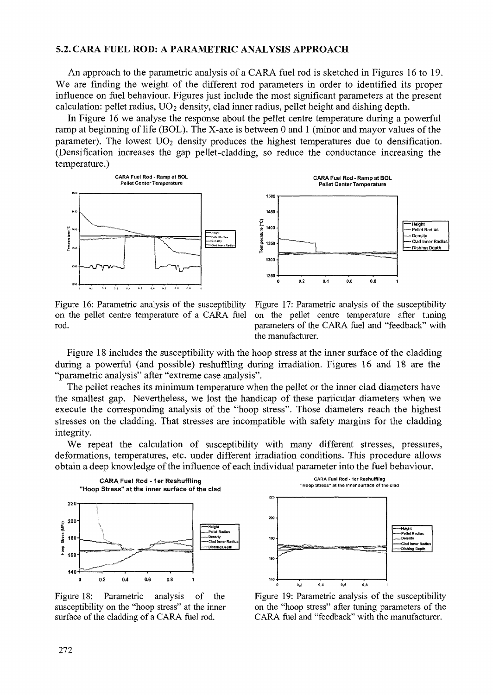#### **5.2. CARA FUEL ROD: A PARAMETRIC ANALYSIS APPROACH**

An approach to the parametric analysis of a CARA fuel rod is sketched in Figures 16 to 19. We are finding the weight of the different rod parameters in order to identified its proper influence on fuel behaviour. Figures just include the most significant parameters at the present calculation: pellet radius,  $UO<sub>2</sub>$  density, clad inner radius, pellet height and dishing depth.

In Figure 16 we analyse the response about the pellet centre temperature during a powerful ramp at beginning of life (BOL). The X-axe is between 0 and 1 (minor and mayor values of the parameter). The lowest  $UO<sub>2</sub>$  density produces the highest temperatures due to densification. (Densification increases the gap pellet-cladding, so reduce the conductance increasing the temperature.)





Figure 16: Parametric analysis of the susceptibility on the pellet centre temperature of a CARA fuel rod.



Figure 18 includes the susceptibility with the hoop stress at the inner surface of the cladding during a powerful (and possible) reshuffling during irradiation. Figures 16 and 18 are the "parametric analysis" after "extreme case analysis".

The pellet reaches its minimum temperature when the pellet or the inner clad diameters have the smallest gap. Nevertheless, we lost the handicap of these particular diameters when we execute the corresponding analysis of the "hoop stress". Those diameters reach the highest stresses on the cladding. That stresses are incompatible with safety margins for the cladding integrity.

We repeat the calculation of susceptibility with many different stresses, pressures, deformations, temperatures, etc. under different irradiation conditions. This procedure allows obtain a deep knowledge of the influence of each individual parameter into the fuel behaviour.



Figure 18: Parametric analysis of the susceptibility on the "hoop stress" at the inner surface of the cladding of a CARA fuel rod.



Figure 19: Parametric analysis of the susceptibility on the "hoop stress" after tuning parameters of the CARA fuel and "feedback" with the manufacturer.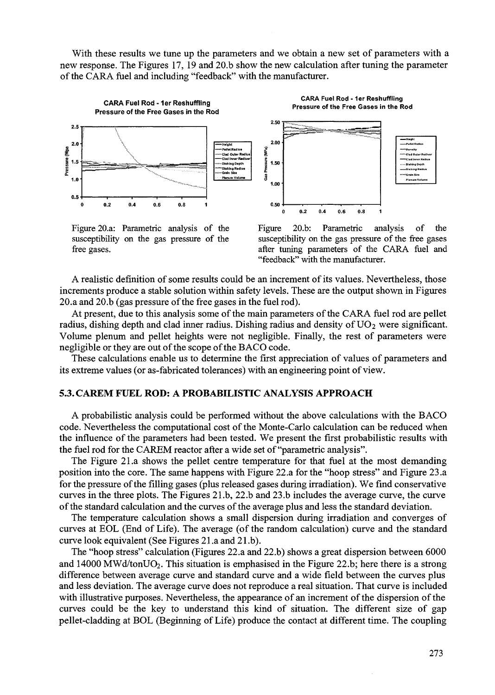With these results we tune up the parameters and we obtain a new set of parameters with a new response. The Figures 17, 19 and 2O.b show the new calculation after tuning the parameter of the CARA fuel and including "feedback" with the manufacturer.

**2.50**



Figure 2O.a: Parametric analysis of the susceptibility on the gas pressure of the free gases.





Figure 20.b: Parametric analysis of the susceptibility on the gas pressure of the free gases after tuning parameters of the CARA fuel and "feedback" with the manufacturer.

A realistic definition of some results could be an increment of its values. Nevertheless, those increments produce a stable solution within safety levels. These are the output shown in Figures 20.a and 20 .b (gas pressure of the free gases in the fuel rod).

At present, due to this analysis some of the main parameters of the CARA fuel rod are pellet radius, dishing depth and clad inner radius. Dishing radius and density of  $UO<sub>2</sub>$  were significant. Volume plenum and pellet heights were not negligible. Finally, the rest of parameters were negligible or they are out of the scope of the BACO code.

These calculations enable us to determine the first appreciation of values of parameters and its extreme values (or as-fabricated tolerances) with an engineering point of view.

#### **5.3.CAREM FUEL ROD: A PROBABILISTIC ANALYSIS APPROACH**

A probabilistic analysis could be performed without the above calculations with the BACO code. Nevertheless the computational cost of the Monte-Carlo calculation can be reduced when the influence of the parameters had been tested. We present the first probabilistic results with the fuel rod for the CAREM reactor after a wide set of "parametric analysis".

The Figure 21.a shows the pellet centre temperature for that fuel at the most demanding position into the core. The same happens with Figure 22.a for the "hoop stress" and Figure 23 .a for the pressure of the filling gases (plus released gases during irradiation). We find conservative curves in the three plots. The Figures 21.b, 22.b and 23.b includes the average curve, the curve of the standard calculation and the curves of the average plus and less the standard deviation.

The temperature calculation shows a small dispersion during irradiation and converges of curves at EOL (End of Life). The average (of the random calculation) curve and the standard curve look equivalent (See Figures 21 .a and 21 .b).

The "hoop stress" calculation (Figures 22.a and 22.b) shows a great dispersion between 6000 and  $14000$  MWd/tonUO<sub>2</sub>. This situation is emphasised in the Figure 22.b; here there is a strong difference between average curve and standard curve and a wide field between the curves plus and less deviation. The average curve does not reproduce a real situation. That curve is included with illustrative purposes. Nevertheless, the appearance of an increment of the dispersion of the curves could be the key to understand this kind of situation. The different size of gap pellet-cladding at BOL (Beginning of Life) produce the contact at different time. The coupling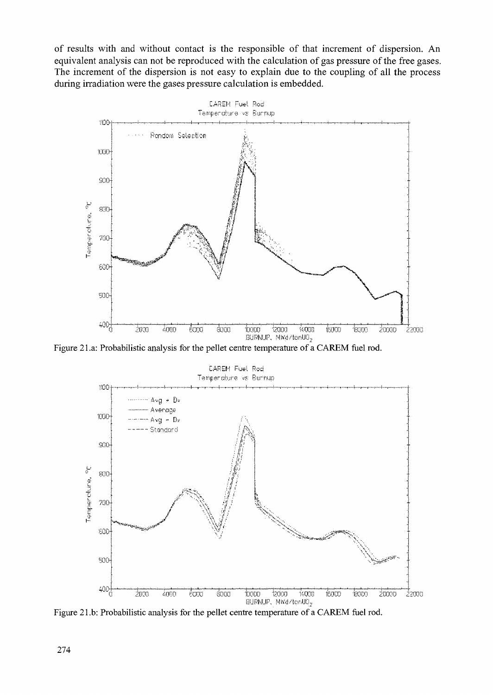of results with and without contact is the responsible of that increment of dispersion. An equivalent analysis can not be reproduced with the calculation of gas pressure of the free gases. The increment of the dispersion is not easy to explain due to the coupling of all the process during irradiation were the gases pressure calculation is embedded.



Figure 21.a: Probabilistic analysis for the pellet centre temperature of a CAREM fuel rod.



Figure 21.b: Probabilistic analysis for the pellet centre temperature of a CAREM fuel rod.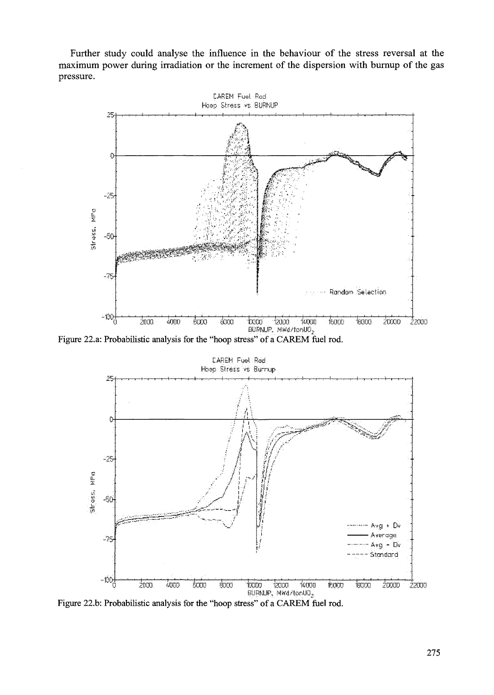Further study could analyse the influence in the behaviour of the stress reversal at the maximum power during irradiation or the increment of the dispersion with burnup of the gas pressure.



Figure 22.a: Probabilistic analysis for the "hoop stress" of a CAREM fuel rod.



Figure 22.b: Probabilistic analysis for the "hoop stress" of a CAREM fuel rod.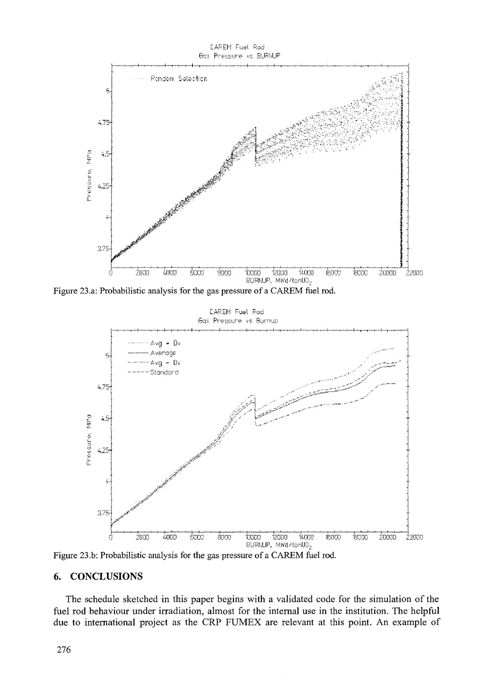

Figure 23.a: **Probabilistic** analysis **for the** gas pressure **of a CAREM** fuel **rod.**



**Figure 23.b: Probabilistic analysis for the gas pressure of a CAREM fuel rod.**

### **6. CONCLUSIONS**

The schedule sketched in this paper begins with a validated code for the simulation of the fuel rod behaviour under irradiation, almost for the internal use in the institution. The helpful due to international project as the CRP FUMEX are relevant at this point. An example of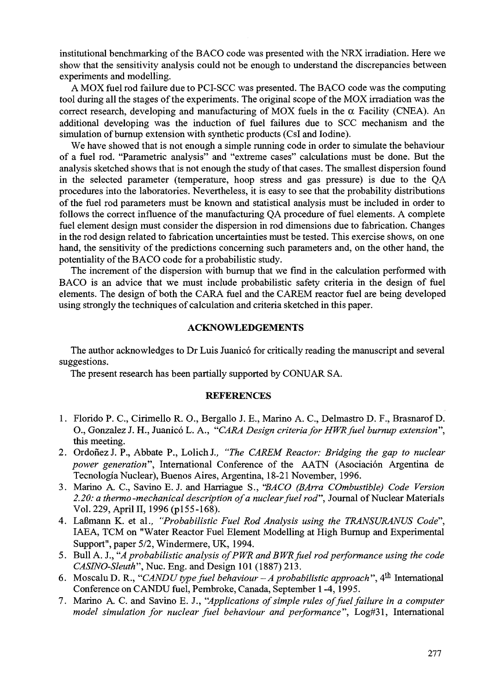institutional benchmarking of the BACO code was presented with the NRX irradiation. Here we show that the sensitivity analysis could not be enough to understand the discrepancies between experiments and modelling.

A MOX fuel rod failure due to PCI-SCC was presented. The BACO code was the computing tool during all the stages of the experiments. The original scope of the MOX irradiation was the correct research, developing and manufacturing of MOX fuels in the  $\alpha$  Facility (CNEA). An additional developing was the induction of fuel failures due to SCC mechanism and the simulation of burnup extension with synthetic products (Csl and Iodine).

We have showed that is not enough a simple running code in order to simulate the behaviour of a fuel rod. "Parametric analysis" and "extreme cases" calculations must be done. But the analysis sketched shows that is not enough the study of that cases. The smallest dispersion found in the selected parameter (temperature, hoop stress and gas pressure) is due to the QA procedures into the laboratories. Nevertheless, it is easy to see that the probability distributions of the fuel rod parameters must be known and statistical analysis must be included in order to follows the correct influence of the manufacturing QA procedure of fuel elements. A complete fuel element design must consider the dispersion in rod dimensions due to fabrication. Changes in the rod design related to fabrication uncertainties must be tested. This exercise shows, on one hand, the sensitivity of the predictions concerning such parameters and, on the other hand, the potentiality of the BACO code for a probabilistic study.

The increment of **the** dispersion with burnup that we find in the calculation performed with BACO is an advice that we must include probabilistic safety criteria in the design of fuel elements. The design of both the CARA fuel and the CAREM reactor fuel are being developed using strongly the techniques of calculation and criteria sketched in this paper.

### **ACKNOWLEDGEMENTS**

The author acknowledges to Dr Luis Juanicó for critically reading the manuscript and several suggestions.

The present research has been partially supported by CONUAR SA.

#### **REFERENCES**

- 1. Florido P. C, Cirimello R. O., Bergallo J. E., Marino A. C, Delmastro D. F., Brasnarof D. O., Gonzalez J. H., Juanicó L. A., "CARA Design criteria for HWR fuel burnup extension", this meeting.
- 2. Ordonez J. P., Abbate P., LolichJ., *"The CAREM Reactor: Bridging the gap to nuclear power generation*", International Conference of the AATN (Asociación Argentina de Tecnologia Nuclear), Buenos Aires, Argentina, 18-21 November, 1996.
- 3. Marino A C, Savino E. J. and Harriague S., *"BACO (BArra COmbustible) Code Version 2.20: a thermo-mechanical description of a nuclear fuel rod",* Journal of Nuclear Materials Vol. 229, April II, 1996 (pi55-168).
- 4. Lafimann K. et al., *"Probabilistic Fuel Rod Analysis using the TRANSURANUS Code",* IAEA, TCM on "Water Reactor Fuel Element Modelling at High Burnup and Experimental Support", paper 5/2, Windermere, UK, 1994.
- 5. Bull A. J., *"A probabilistic analysis ofPWR and BWR fuel rod performance using the code CASINO-Sleuth",* Nuc. Eng. and Design 101 (1887) 213.
- 6. Moscalu D. R., "CANDU type fuel behaviour -*A* probabilistic approach", 4<sup>th</sup> International Conference on CANDU fuel, Pembroke, Canada, September 1 -4,1995.
- 7. Marino A. C. and Savino E. J., *"Applications of simple rules of fuel failure in a computer model simulation for nuclear fuel behaviour and performance",* Log#31, International